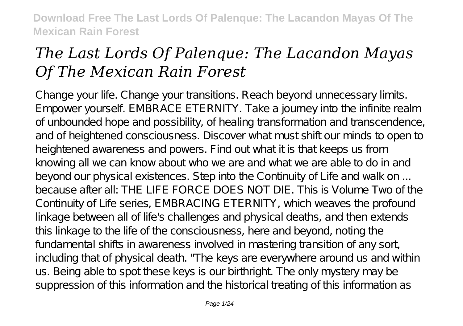# *The Last Lords Of Palenque: The Lacandon Mayas Of The Mexican Rain Forest*

Change your life. Change your transitions. Reach beyond unnecessary limits. Empower yourself. EMBRACE ETERNITY. Take a journey into the infinite realm of unbounded hope and possibility, of healing transformation and transcendence, and of heightened consciousness. Discover what must shift our minds to open to heightened awareness and powers. Find out what it is that keeps us from knowing all we can know about who we are and what we are able to do in and beyond our physical existences. Step into the Continuity of Life and walk on ... because after all: THE LIFE FORCE DOES NOT DIE. This is Volume Two of the Continuity of Life series, EMBRACING ETERNITY, which weaves the profound linkage between all of life's challenges and physical deaths, and then extends this linkage to the life of the consciousness, here and beyond, noting the fundamental shifts in awareness involved in mastering transition of any sort, including that of physical death. "The keys are everywhere around us and within us. Being able to spot these keys is our birthright. The only mystery may be suppression of this information and the historical treating of this information as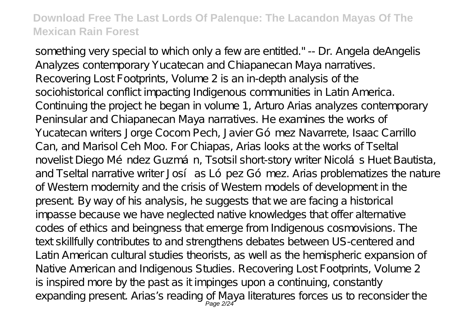something very special to which only a few are entitled." -- Dr. Angela deAngelis Analyzes contemporary Yucatecan and Chiapanecan Maya narratives. Recovering Lost Footprints, Volume 2 is an in-depth analysis of the sociohistorical conflict impacting Indigenous communities in Latin America. Continuing the project he began in volume 1, Arturo Arias analyzes contemporary Peninsular and Chiapanecan Maya narratives. He examines the works of Yucatecan writers Jorge Cocom Pech, Javier Gómez Navarrete, Isaac Carrillo Can, and Marisol Ceh Moo. For Chiapas, Arias looks at the works of Tseltal novelist Diego Méndez Guzmán, Tsotsil short-story writer Nicolás Huet Bautista, and Tseltal narrative writer Josí as López Gómez. Arias problematizes the nature of Western modernity and the crisis of Western models of development in the present. By way of his analysis, he suggests that we are facing a historical impasse because we have neglected native knowledges that offer alternative codes of ethics and beingness that emerge from Indigenous cosmovisions. The text skillfully contributes to and strengthens debates between US-centered and Latin American cultural studies theorists, as well as the hemispheric expansion of Native American and Indigenous Studies. Recovering Lost Footprints, Volume 2 is inspired more by the past as it impinges upon a continuing, constantly expanding present Arias's reading of Maya literatures forces us to reconsider the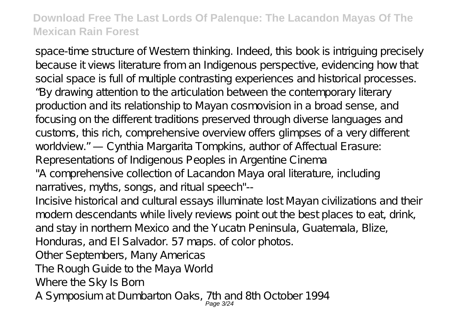space-time structure of Western thinking. Indeed, this book is intriguing precisely because it views literature from an Indigenous perspective, evidencing how that social space is full of multiple contrasting experiences and historical processes. "By drawing attention to the articulation between the contemporary literary production and its relationship to Mayan cosmovision in a broad sense, and focusing on the different traditions preserved through diverse languages and customs, this rich, comprehensive overview offers glimpses of a very different worldview." — Cynthia Margarita Tompkins, author of Affectual Erasure: Representations of Indigenous Peoples in Argentine Cinema

"A comprehensive collection of Lacandon Maya oral literature, including narratives, myths, songs, and ritual speech"--

Incisive historical and cultural essays illuminate lost Mayan civilizations and their modern descendants while lively reviews point out the best places to eat, drink, and stay in northern Mexico and the Yucatn Peninsula, Guatemala, Blize,

Honduras, and El Salvador. 57 maps. of color photos.

Other Septembers, Many Americas

The Rough Guide to the Maya World

Where the Sky Is Born

A Symposium at Dumbarton Oaks, 7th and 8th October 1994<br>Page 324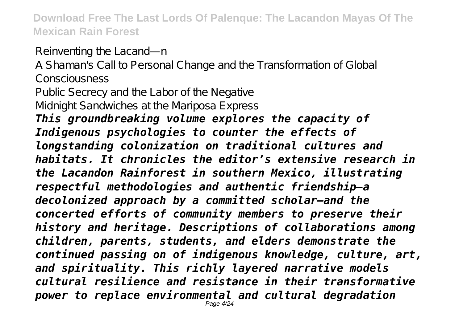Reinventing the Lacand—n

A Shaman's Call to Personal Change and the Transformation of Global Consciousness

Public Secrecy and the Labor of the Negative Midnight Sandwiches at the Mariposa Express

*This groundbreaking volume explores the capacity of Indigenous psychologies to counter the effects of longstanding colonization on traditional cultures and habitats. It chronicles the editor's extensive research in the Lacandon Rainforest in southern Mexico, illustrating respectful methodologies and authentic friendship—a decolonized approach by a committed scholar—and the concerted efforts of community members to preserve their history and heritage. Descriptions of collaborations among children, parents, students, and elders demonstrate the continued passing on of indigenous knowledge, culture, art, and spirituality. This richly layered narrative models cultural resilience and resistance in their transformative power to replace environmental and cultural degradation* Page 4/24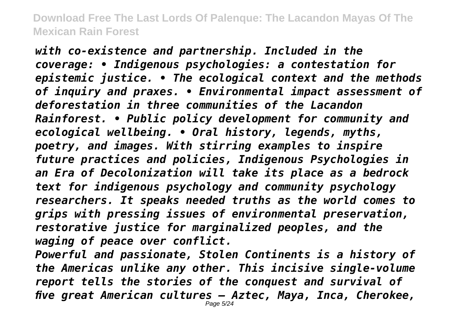*with co-existence and partnership. Included in the coverage: • Indigenous psychologies: a contestation for epistemic justice. • The ecological context and the methods of inquiry and praxes. • Environmental impact assessment of deforestation in three communities of the Lacandon Rainforest. • Public policy development for community and ecological wellbeing. • Oral history, legends, myths, poetry, and images. With stirring examples to inspire future practices and policies, Indigenous Psychologies in an Era of Decolonization will take its place as a bedrock text for indigenous psychology and community psychology researchers. It speaks needed truths as the world comes to grips with pressing issues of environmental preservation, restorative justice for marginalized peoples, and the waging of peace over conflict.*

*Powerful and passionate, Stolen Continents is a history of the Americas unlike any other. This incisive single-volume report tells the stories of the conquest and survival of five great American cultures — Aztec, Maya, Inca, Cherokee,*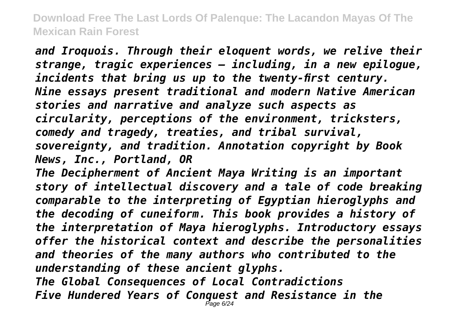*and Iroquois. Through their eloquent words, we relive their strange, tragic experiences — including, in a new epilogue, incidents that bring us up to the twenty-first century. Nine essays present traditional and modern Native American stories and narrative and analyze such aspects as circularity, perceptions of the environment, tricksters, comedy and tragedy, treaties, and tribal survival, sovereignty, and tradition. Annotation copyright by Book News, Inc., Portland, OR*

*The Decipherment of Ancient Maya Writing is an important story of intellectual discovery and a tale of code breaking comparable to the interpreting of Egyptian hieroglyphs and the decoding of cuneiform. This book provides a history of the interpretation of Maya hieroglyphs. Introductory essays offer the historical context and describe the personalities and theories of the many authors who contributed to the understanding of these ancient glyphs. The Global Consequences of Local Contradictions Five Hundered Years of Conquest and Resistance in the* Page 6/24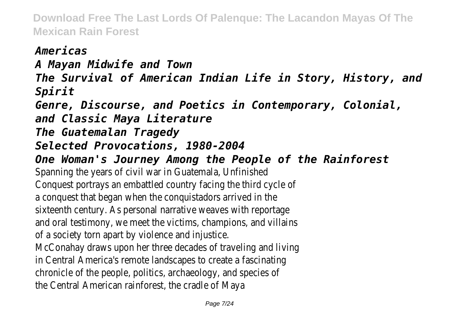*Americas A Mayan Midwife and Town The Survival of American Indian Life in Story, History, and Spirit Genre, Discourse, and Poetics in Contemporary, Colonial, and Classic Maya Literature The Guatemalan Tragedy Selected Provocations, 1980-2004 One Woman's Journey Among the People of the Rainforest* Spanning the years of civil war in Guatemala, Unfinished Conquest portrays an embattled country facing the third cycle of a conquest that began when the conquistadors arrived in the sixteenth century. As personal narrative weaves with reportage and oral testimony, we meet the victims, champions, and villains of a society torn apart by violence and injustice. McConahay draws upon her three decades of traveling and living in Central America's remote landscapes to create a fascinating chronicle of the people, politics, archaeology, and species of the Central American rainforest, the cradle of Maya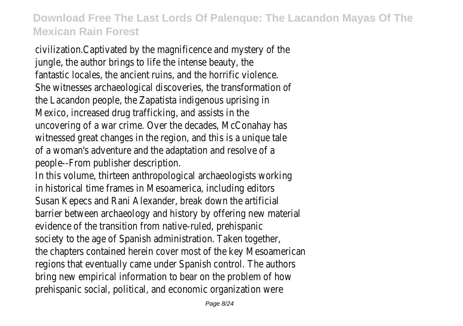civilization.Captivated by the magnificence and mystery of the jungle, the author brings to life the intense beauty, the fantastic locales, the ancient ruins, and the horrific violence. She witnesses archaeological discoveries, the transformation of the Lacandon people, the Zapatista indigenous uprising in Mexico, increased drug trafficking, and assists in the uncovering of a war crime. Over the decades, McConahay has witnessed great changes in the region, and this is a unique tale of a woman's adventure and the adaptation and resolve of a people--From publisher description.

In this volume, thirteen anthropological archaeologists working in historical time frames in Mesoamerica, including editors Susan Kepecs and Rani Alexander, break down the artificial barrier between archaeology and history by offering new material evidence of the transition from native-ruled, prehispanic society to the age of Spanish administration. Taken together, the chapters contained herein cover most of the key Mesoamerican regions that eventually came under Spanish control. The authors bring new empirical information to bear on the problem of how prehispanic social, political, and economic organization were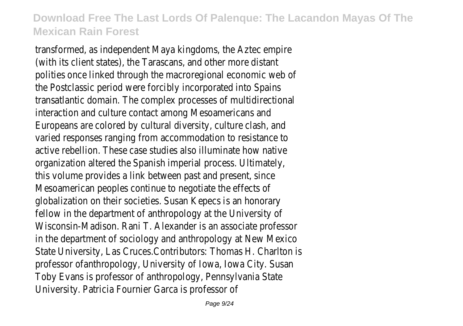transformed, as independent Maya kingdoms, the Aztec empire (with its client states), the Tarascans, and other more distant polities once linked through the macroregional economic web of the Postclassic period were forcibly incorporated into Spains transatlantic domain. The complex processes of multidirectional interaction and culture contact among Mesoamericans and Europeans are colored by cultural diversity, culture clash, and varied responses ranging from accommodation to resistance to active rebellion. These case studies also illuminate how native organization altered the Spanish imperial process. Ultimately, this volume provides a link between past and present, since Mesoamerican peoples continue to negotiate the effects of globalization on their societies. Susan Kepecs is an honorary fellow in the department of anthropology at the University of Wisconsin-Madison. Rani T. Alexander is an associate professor in the department of sociology and anthropology at New Mexico State University, Las Cruces.Contributors: Thomas H. Charlton is professor ofanthropology, University of Iowa, Iowa City. Susan Toby Evans is professor of anthropology, Pennsylvania State University. Patricia Fournier Garca is professor of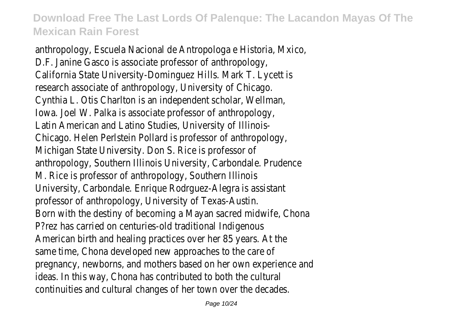anthropology, Escuela Nacional de Antropologa e Historia, Mxico, D.F. Janine Gasco is associate professor of anthropology, California State University-Dominguez Hills. Mark T. Lycett is research associate of anthropology, University of Chicago. Cynthia L. Otis Charlton is an independent scholar, Wellman, Iowa. Joel W. Palka is associate professor of anthropology, Latin American and Latino Studies, University of Illinois-Chicago. Helen Perlstein Pollard is professor of anthropology, Michigan State University. Don S. Rice is professor of anthropology, Southern Illinois University, Carbondale. Prudence M. Rice is professor of anthropology, Southern Illinois University, Carbondale. Enrique Rodrguez-Alegra is assistant professor of anthropology, University of Texas-Austin. Born with the destiny of becoming a Mayan sacred midwife, Chona P?rez has carried on centuries-old traditional Indigenous American birth and healing practices over her 85 years. At the same time, Chona developed new approaches to the care of pregnancy, newborns, and mothers based on her own experience and ideas. In this way, Chona has contributed to both the cultural continuities and cultural changes of her town over the decades.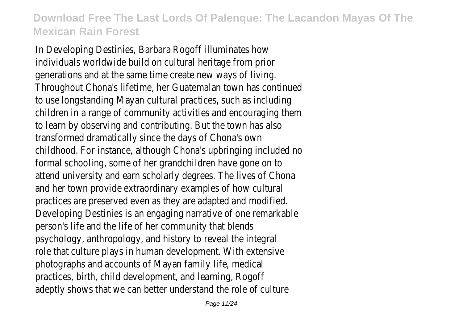In Developing Destinies, Barbara Rogoff illuminates how individuals worldwide build on cultural heritage from prior generations and at the same time create new ways of living. Throughout Chona's lifetime, her Guatemalan town has continued to use longstanding Mayan cultural practices, such as including children in a range of community activities and encouraging them to learn by observing and contributing. But the town has also transformed dramatically since the days of Chona's own childhood. For instance, although Chona's upbringing included no formal schooling, some of her grandchildren have gone on to attend university and earn scholarly degrees. The lives of Chona and her town provide extraordinary examples of how cultural practices are preserved even as they are adapted and modified. Developing Destinies is an engaging narrative of one remarkable person's life and the life of her community that blends psychology, anthropology, and history to reveal the integral role that culture plays in human development. With extensive photographs and accounts of Mayan family life, medical practices, birth, child development, and learning, Rogoff adeptly shows that we can better understand the role of culture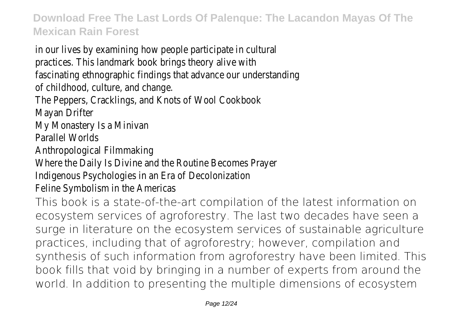in our lives by examining how people participate in cultural practices. This landmark book brings theory alive with fascinating ethnographic findings that advance our understanding of childhood, culture, and change. The Peppers, Cracklings, and Knots of Wool Cookbook Mayan Drifter My Monastery Is a Minivan Parallel Worlds Anthropological Filmmaking Where the Daily Is Divine and the Routine Becomes Prayer Indigenous Psychologies in an Era of Decolonization Feline Symbolism in the Americas This book is a state-of-the-art compilation of the latest information on ecosystem services of agroforestry. The last two decades have seen a surge in literature on the ecosystem services of sustainable agriculture practices, including that of agroforestry; however, compilation and synthesis of such information from agroforestry have been limited. This book fills that void by bringing in a number of experts from around the world. In addition to presenting the multiple dimensions of ecosystem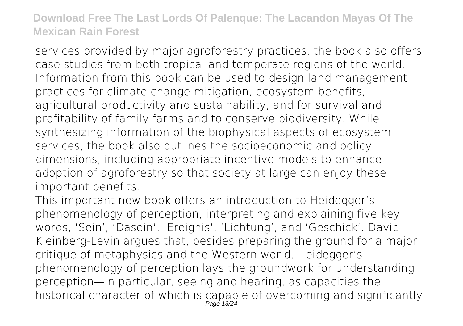services provided by major agroforestry practices, the book also offers case studies from both tropical and temperate regions of the world. Information from this book can be used to design land management practices for climate change mitigation, ecosystem benefits, agricultural productivity and sustainability, and for survival and profitability of family farms and to conserve biodiversity. While synthesizing information of the biophysical aspects of ecosystem services, the book also outlines the socioeconomic and policy dimensions, including appropriate incentive models to enhance adoption of agroforestry so that society at large can enjoy these important benefits.

This important new book offers an introduction to Heidegger's phenomenology of perception, interpreting and explaining five key words, 'Sein', 'Dasein', 'Ereignis', 'Lichtung', and 'Geschick'. David Kleinberg-Levin argues that, besides preparing the ground for a major critique of metaphysics and the Western world, Heidegger's phenomenology of perception lays the groundwork for understanding perception—in particular, seeing and hearing, as capacities the historical character of which is capable of overcoming and significantly Page 13/24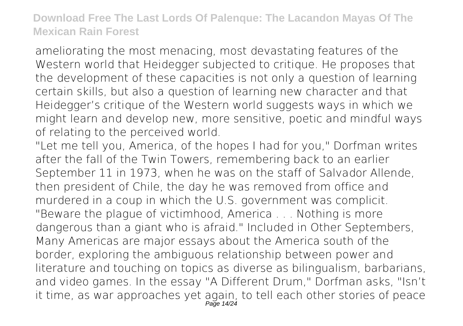ameliorating the most menacing, most devastating features of the Western world that Heidegger subjected to critique. He proposes that the development of these capacities is not only a question of learning certain skills, but also a question of learning new character and that Heidegger's critique of the Western world suggests ways in which we might learn and develop new, more sensitive, poetic and mindful ways of relating to the perceived world.

"Let me tell you, America, of the hopes I had for you," Dorfman writes after the fall of the Twin Towers, remembering back to an earlier September 11 in 1973, when he was on the staff of Salvador Allende, then president of Chile, the day he was removed from office and murdered in a coup in which the U.S. government was complicit. "Beware the plague of victimhood, America . . . Nothing is more dangerous than a giant who is afraid." Included in Other Septembers, Many Americas are major essays about the America south of the border, exploring the ambiguous relationship between power and literature and touching on topics as diverse as bilingualism, barbarians, and video games. In the essay "A Different Drum," Dorfman asks, "Isn't it time, as war approaches yet again, to tell each other stories of peace<br>Page 14/24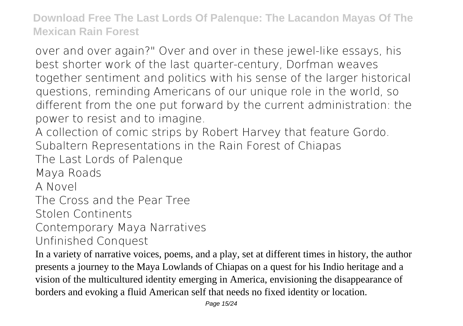over and over again?" Over and over in these jewel-like essays, his best shorter work of the last quarter-century, Dorfman weaves together sentiment and politics with his sense of the larger historical questions, reminding Americans of our unique role in the world, so different from the one put forward by the current administration: the power to resist and to imagine.

A collection of comic strips by Robert Harvey that feature Gordo. Subaltern Representations in the Rain Forest of Chiapas

The Last Lords of Palenque

Maya Roads

A Novel

The Cross and the Pear Tree

Stolen Continents

Contemporary Maya Narratives

Unfinished Conquest

In a variety of narrative voices, poems, and a play, set at different times in history, the author presents a journey to the Maya Lowlands of Chiapas on a quest for his Indio heritage and a vision of the multicultured identity emerging in America, envisioning the disappearance of borders and evoking a fluid American self that needs no fixed identity or location.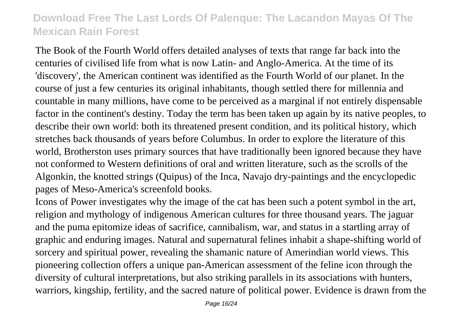The Book of the Fourth World offers detailed analyses of texts that range far back into the centuries of civilised life from what is now Latin- and Anglo-America. At the time of its 'discovery', the American continent was identified as the Fourth World of our planet. In the course of just a few centuries its original inhabitants, though settled there for millennia and countable in many millions, have come to be perceived as a marginal if not entirely dispensable factor in the continent's destiny. Today the term has been taken up again by its native peoples, to describe their own world: both its threatened present condition, and its political history, which stretches back thousands of years before Columbus. In order to explore the literature of this world, Brotherston uses primary sources that have traditionally been ignored because they have not conformed to Western definitions of oral and written literature, such as the scrolls of the Algonkin, the knotted strings (Quipus) of the Inca, Navajo dry-paintings and the encyclopedic pages of Meso-America's screenfold books.

Icons of Power investigates why the image of the cat has been such a potent symbol in the art, religion and mythology of indigenous American cultures for three thousand years. The jaguar and the puma epitomize ideas of sacrifice, cannibalism, war, and status in a startling array of graphic and enduring images. Natural and supernatural felines inhabit a shape-shifting world of sorcery and spiritual power, revealing the shamanic nature of Amerindian world views. This pioneering collection offers a unique pan-American assessment of the feline icon through the diversity of cultural interpretations, but also striking parallels in its associations with hunters, warriors, kingship, fertility, and the sacred nature of political power. Evidence is drawn from the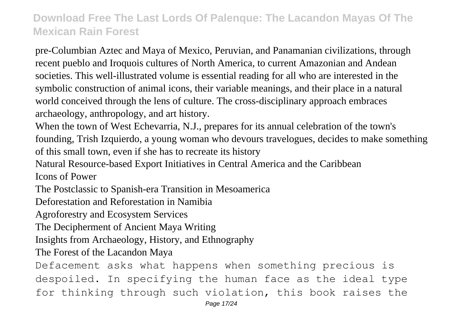pre-Columbian Aztec and Maya of Mexico, Peruvian, and Panamanian civilizations, through recent pueblo and Iroquois cultures of North America, to current Amazonian and Andean societies. This well-illustrated volume is essential reading for all who are interested in the symbolic construction of animal icons, their variable meanings, and their place in a natural world conceived through the lens of culture. The cross-disciplinary approach embraces archaeology, anthropology, and art history.

When the town of West Echevarria, N.J., prepares for its annual celebration of the town's founding, Trish Izquierdo, a young woman who devours travelogues, decides to make something of this small town, even if she has to recreate its history

Natural Resource-based Export Initiatives in Central America and the Caribbean

Icons of Power

The Postclassic to Spanish-era Transition in Mesoamerica

Deforestation and Reforestation in Namibia

Agroforestry and Ecosystem Services

The Decipherment of Ancient Maya Writing

Insights from Archaeology, History, and Ethnography

The Forest of the Lacandon Maya

Defacement asks what happens when something precious is despoiled. In specifying the human face as the ideal type for thinking through such violation, this book raises the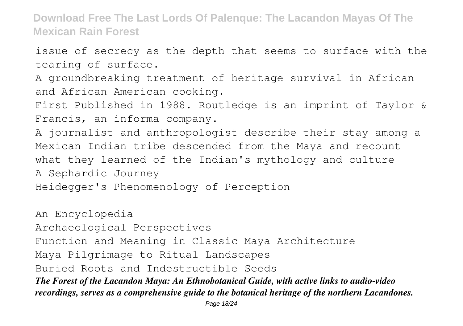issue of secrecy as the depth that seems to surface with the tearing of surface.

A groundbreaking treatment of heritage survival in African and African American cooking.

First Published in 1988. Routledge is an imprint of Taylor & Francis, an informa company.

A journalist and anthropologist describe their stay among a Mexican Indian tribe descended from the Maya and recount what they learned of the Indian's mythology and culture A Sephardic Journey

Heidegger's Phenomenology of Perception

An Encyclopedia Archaeological Perspectives Function and Meaning in Classic Maya Architecture Maya Pilgrimage to Ritual Landscapes Buried Roots and Indestructible Seeds *The Forest of the Lacandon Maya: An Ethnobotanical Guide, with active links to audio-video recordings, serves as a comprehensive guide to the botanical heritage of the northern Lacandones.*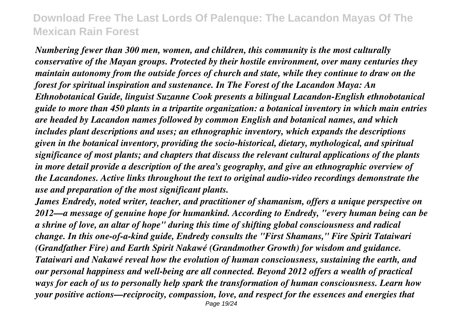*Numbering fewer than 300 men, women, and children, this community is the most culturally conservative of the Mayan groups. Protected by their hostile environment, over many centuries they maintain autonomy from the outside forces of church and state, while they continue to draw on the forest for spiritual inspiration and sustenance. In The Forest of the Lacandon Maya: An Ethnobotanical Guide, linguist Suzanne Cook presents a bilingual Lacandon-English ethnobotanical guide to more than 450 plants in a tripartite organization: a botanical inventory in which main entries are headed by Lacandon names followed by common English and botanical names, and which includes plant descriptions and uses; an ethnographic inventory, which expands the descriptions given in the botanical inventory, providing the socio-historical, dietary, mythological, and spiritual significance of most plants; and chapters that discuss the relevant cultural applications of the plants in more detail provide a description of the area's geography, and give an ethnographic overview of the Lacandones. Active links throughout the text to original audio-video recordings demonstrate the use and preparation of the most significant plants.*

*James Endredy, noted writer, teacher, and practitioner of shamanism, offers a unique perspective on 2012—a message of genuine hope for humankind. According to Endredy, "every human being can be a shrine of love, an altar of hope" during this time of shifting global consciousness and radical change. In this one-of-a-kind guide, Endredy consults the "First Shamans," Fire Spirit Tataiwari (Grandfather Fire) and Earth Spirit Nakawé (Grandmother Growth) for wisdom and guidance. Tataiwari and Nakawé reveal how the evolution of human consciousness, sustaining the earth, and our personal happiness and well-being are all connected. Beyond 2012 offers a wealth of practical ways for each of us to personally help spark the transformation of human consciousness. Learn how your positive actions—reciprocity, compassion, love, and respect for the essences and energies that* Page 19/24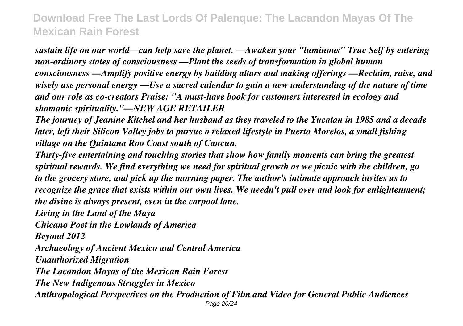*sustain life on our world—can help save the planet. —Awaken your "luminous" True Self by entering non-ordinary states of consciousness —Plant the seeds of transformation in global human consciousness —Amplify positive energy by building altars and making offerings —Reclaim, raise, and wisely use personal energy —Use a sacred calendar to gain a new understanding of the nature of time and our role as co-creators Praise: "A must-have book for customers interested in ecology and shamanic spirituality."—NEW AGE RETAILER*

*The journey of Jeanine Kitchel and her husband as they traveled to the Yucatan in 1985 and a decade later, left their Silicon Valley jobs to pursue a relaxed lifestyle in Puerto Morelos, a small fishing village on the Quintana Roo Coast south of Cancun.*

*Thirty-five entertaining and touching stories that show how family moments can bring the greatest spiritual rewards. We find everything we need for spiritual growth as we picnic with the children, go to the grocery store, and pick up the morning paper. The author's intimate approach invites us to recognize the grace that exists within our own lives. We needn't pull over and look for enlightenment; the divine is always present, even in the carpool lane.*

*Living in the Land of the Maya*

*Chicano Poet in the Lowlands of America*

*Beyond 2012*

*Archaeology of Ancient Mexico and Central America*

*Unauthorized Migration*

*The Lacandon Mayas of the Mexican Rain Forest*

*The New Indigenous Struggles in Mexico*

*Anthropological Perspectives on the Production of Film and Video for General Public Audiences* Page 20/24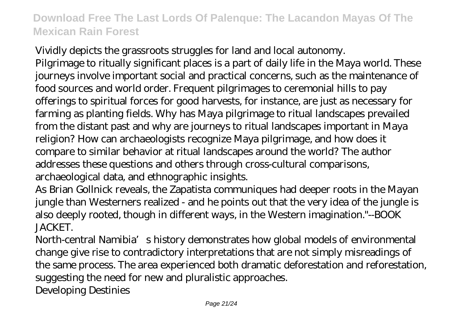Vividly depicts the grassroots struggles for land and local autonomy. Pilgrimage to ritually significant places is a part of daily life in the Maya world. These journeys involve important social and practical concerns, such as the maintenance of food sources and world order. Frequent pilgrimages to ceremonial hills to pay offerings to spiritual forces for good harvests, for instance, are just as necessary for farming as planting fields. Why has Maya pilgrimage to ritual landscapes prevailed from the distant past and why are journeys to ritual landscapes important in Maya religion? How can archaeologists recognize Maya pilgrimage, and how does it compare to similar behavior at ritual landscapes around the world? The author addresses these questions and others through cross-cultural comparisons, archaeological data, and ethnographic insights.

As Brian Gollnick reveals, the Zapatista communiques had deeper roots in the Mayan jungle than Westerners realized - and he points out that the very idea of the jungle is also deeply rooted, though in different ways, in the Western imagination."--BOOK JACKET.

North-central Namibia's history demonstrates how global models of environmental change give rise to contradictory interpretations that are not simply misreadings of the same process. The area experienced both dramatic deforestation and reforestation, suggesting the need for new and pluralistic approaches. Developing Destinies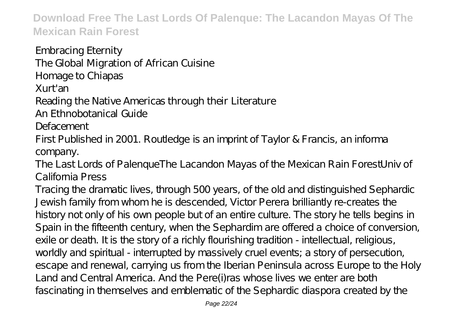Embracing Eternity The Global Migration of African Cuisine Homage to Chiapas Xurt'an Reading the Native Americas through their Literature

An Ethnobotanical Guide

**Defacement** 

First Published in 2001. Routledge is an imprint of Taylor & Francis, an informa company.

The Last Lords of PalenqueThe Lacandon Mayas of the Mexican Rain ForestUniv of California Press

Tracing the dramatic lives, through 500 years, of the old and distinguished Sephardic Jewish family from whom he is descended, Victor Perera brilliantly re-creates the history not only of his own people but of an entire culture. The story he tells begins in Spain in the fifteenth century, when the Sephardim are offered a choice of conversion, exile or death. It is the story of a richly flourishing tradition - intellectual, religious, worldly and spiritual - interrupted by massively cruel events; a story of persecution, escape and renewal, carrying us from the Iberian Peninsula across Europe to the Holy Land and Central America. And the Pere(i)ras whose lives we enter are both fascinating in themselves and emblematic of the Sephardic diaspora created by the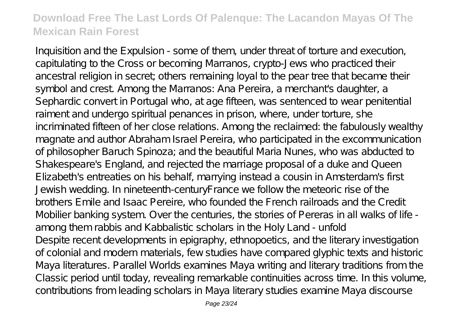Inquisition and the Expulsion - some of them, under threat of torture and execution, capitulating to the Cross or becoming Marranos, crypto-Jews who practiced their ancestral religion in secret; others remaining loyal to the pear tree that became their symbol and crest. Among the Marranos: Ana Pereira, a merchant's daughter, a Sephardic convert in Portugal who, at age fifteen, was sentenced to wear penitential raiment and undergo spiritual penances in prison, where, under torture, she incriminated fifteen of her close relations. Among the reclaimed: the fabulously wealthy magnate and author Abraham Israel Pereira, who participated in the excommunication of philosopher Baruch Spinoza; and the beautiful Maria Nunes, who was abducted to Shakespeare's England, and rejected the marriage proposal of a duke and Queen Elizabeth's entreaties on his behalf, marrying instead a cousin in Amsterdam's first Jewish wedding. In nineteenth-centuryFrance we follow the meteoric rise of the brothers Emile and Isaac Pereire, who founded the French railroads and the Credit Mobilier banking system. Over the centuries, the stories of Pereras in all walks of life among them rabbis and Kabbalistic scholars in the Holy Land - unfold Despite recent developments in epigraphy, ethnopoetics, and the literary investigation of colonial and modern materials, few studies have compared glyphic texts and historic Maya literatures. Parallel Worlds examines Maya writing and literary traditions from the Classic period until today, revealing remarkable continuities across time. In this volume, contributions from leading scholars in Maya literary studies examine Maya discourse